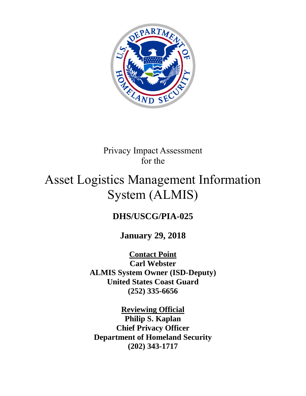

# Privacy Impact Assessment for the

# Asset Logistics Management Information System (ALMIS)

# **DHS/USCG/PIA-025**

## **January 29, 2018**

**Contact Point Carl Webster ALMIS System Owner (ISD-Deputy) United States Coast Guard (252) 335-6656**

**Reviewing Official Philip S. Kaplan Chief Privacy Officer Department of Homeland Security (202) 343-1717**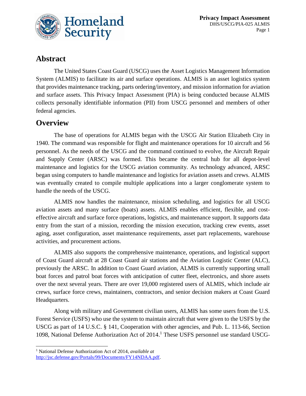

#### **Abstract**

The United States Coast Guard (USCG) uses the Asset Logistics Management Information System (ALMIS) to facilitate its air and surface operations. ALMIS is an asset logistics system that provides maintenance tracking, parts ordering/inventory, and mission information for aviation and surface assets. This Privacy Impact Assessment (PIA) is being conducted because ALMIS collects personally identifiable information (PII) from USCG personnel and members of other federal agencies.

#### **Overview**

 $\overline{a}$ 

The base of operations for ALMIS began with the USCG Air Station Elizabeth City in 1940. The command was responsible for flight and maintenance operations for 10 aircraft and 56 personnel. As the needs of the USCG and the command continued to evolve, the Aircraft Repair and Supply Center (ARSC) was formed. This became the central hub for all depot-level maintenance and logistics for the USCG aviation community. As technology advanced, ARSC began using computers to handle maintenance and logistics for aviation assets and crews. ALMIS was eventually created to compile multiple applications into a larger conglomerate system to handle the needs of the USCG.

ALMIS now handles the maintenance, mission scheduling, and logistics for all USCG aviation assets and many surface (boats) assets. ALMIS enables efficient, flexible, and costeffective aircraft and surface force operations, logistics, and maintenance support. It supports data entry from the start of a mission, recording the mission execution, tracking crew events, asset aging, asset configuration, asset maintenance requirements, asset part replacements, warehouse activities, and procurement actions.

ALMIS also supports the comprehensive maintenance, operations, and logistical support of Coast Guard aircraft at 28 Coast Guard air stations and the Aviation Logistic Center (ALC), previously the ARSC. In addition to Coast Guard aviation, ALMIS is currently supporting small boat forces and patrol boat forces with anticipation of cutter fleet, electronics, and shore assets over the next several years. There are over 19,000 registered users of ALMIS, which include air crews, surface force crews, maintainers, contractors, and senior decision makers at Coast Guard Headquarters.

Along with military and Government civilian users, ALMIS has some users from the U.S. Forest Service (USFS) who use the system to maintain aircraft that were given to the USFS by the USCG as part of 14 U.S.C. § 141, Cooperation with other agencies, and Pub. L. 113-66, Section 1098, National Defense Authorization Act of 2014. <sup>1</sup> These USFS personnel use standard USCG-

<sup>1</sup> National Defense Authorization Act of 2014, *available at*  [http://jsc.defense.gov/Portals/99/Documents/FY14NDAA.pdf.](http://jsc.defense.gov/Portals/99/Documents/FY14NDAA.pdf)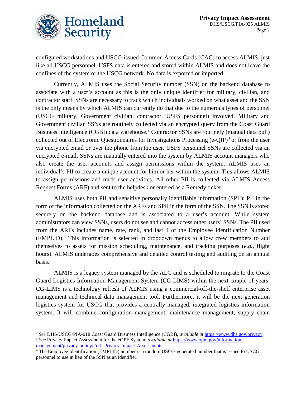

 $\overline{\phantom{a}}$ 

configured workstations and USCG-issued Common Access Cards (CAC) to access ALMIS, just like all USCG personnel. USFS data is entered and stored within ALMIS and does not leave the confines of the system or the USCG network. No data is exported or imported.

Currently, ALMIS uses the Social Security number (SSN) on the backend database to associate with a user's account as this is the only unique identifier for military, civilian, and contractor staff. SSNs are necessary to track which individuals worked on what asset and the SSN is the only means by which ALMIS can currently do that due to the numerous types of personnel (USCG military, Government civilian, contractor, USFS personnel) involved. Military and Government civilian SSNs are routinely collected via an encrypted query from the Coast Guard Business Intelligence (CGBI) data warehouse. <sup>2</sup> Contractor SSNs are routinely (manual data pull) collected out of Electronic Questionnaires for Investigations Processing (e-QIP)<sup>3</sup> or from the user via encrypted email or over the phone from the user. USFS personnel SSNs are collected via an encrypted e-mail. SSNs are manually entered into the system by ALMIS account managers who also create the user accounts and assign permissions within the system. ALMIS uses an individual's PII to create a unique account for him or her within the system. This allows ALMIS to assign permissions and track user activities. All other PII is collected via ALMIS Access Request Forms (ARF) and sent to the helpdesk or entered as a Remedy ticket.

ALMIS uses both PII and sensitive personally identifiable information (SPII); PII in the form of the information collected on the ARFs and SPII in the form of the SSN. The SSN is stored securely on the backend database and is associated to a user's account. While system administrators can view SSNs, users do not see and cannot access other users' SSNs. The PII used from the ARFs includes name, rate, rank, and last 4 of the Employee Identification Number (EMPLID). <sup>4</sup> This information is selected in dropdown menus to allow crew members to add themselves to assets for mission scheduling, maintenance, and tracking purposes (*e.g.*, flight hours). ALMIS undergoes comprehensive and detailed control testing and auditing on an annual basis.

ALMIS is a legacy system managed by the ALC and is scheduled to migrate to the Coast Guard Logistics Information Management System (CG-LIMS) within the next couple of years. CG-LIMS is a technology refresh of ALMIS using a commercial-off-the-shelf enterprise asset management and technical data management tool. Furthermore, it will be the next generation logistics system for USCG that provides a centrally managed, integrated logistics information system. It will combine configuration management, maintenance management, supply chain

<sup>2</sup> *See* DHS/USCG/PIA-018 Coast Guard Business Intelligence (CGBI), *available at* [https://www.dhs.gov/privacy.](https://www.dhs.gov/privacy) <sup>3</sup> *See* Privacy Impact Assessment for the eOPF System, *available at* [https://www.opm.gov/information](https://www.opm.gov/information-management/privacy-policy/#url=Privacy-Impact-Assessments)[management/privacy-policy/#url=Privacy-Impact-Assessments.](https://www.opm.gov/information-management/privacy-policy/#url=Privacy-Impact-Assessments)

<sup>4</sup> The Employee Identification (EMPLID) number is a random USCG-generated number that is issued to USCG personnel to use in lieu of the SSN as an identifier.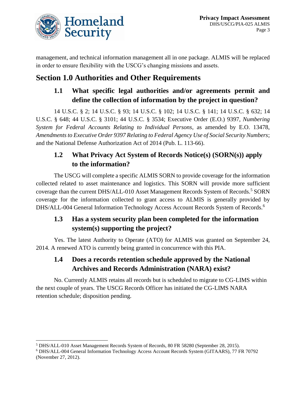

management, and technical information management all in one package. ALMIS will be replaced in order to ensure flexibility with the USCG's changing missions and assets.

## **Section 1.0 Authorities and Other Requirements**

#### **1.1 What specific legal authorities and/or agreements permit and define the collection of information by the project in question?**

14 U.S.C. § 2; 14 U.S.C. § 93; 14 U.S.C. § 102; 14 U.S.C. § 141; 14 U.S.C. § 632; 14 U.S.C. § 648; 44 U.S.C. § 3101; 44 U.S.C. § 3534; Executive Order (E.O.) 9397, *Numbering System for Federal Accounts Relating to Individual Persons*, as amended by E.O. 13478, *Amendments to Executive Order 9397 Relating to Federal Agency Use of Social Security Numbers*; and the National Defense Authorization Act of 2014 (Pub. L. 113-66).

#### **1.2 What Privacy Act System of Records Notice(s) (SORN(s)) apply to the information?**

The USCG will complete a specific ALMIS SORN to provide coverage for the information collected related to asset maintenance and logistics. This SORN will provide more sufficient coverage than the current DHS/ALL-010 Asset Management Records System of Records.<sup>5</sup> SORN coverage for the information collected to grant access to ALMIS is generally provided by DHS/ALL-004 General Information Technology Access Account Records System of Records.<sup>6</sup>

#### **1.3 Has a system security plan been completed for the information system(s) supporting the project?**

Yes. The latest Authority to Operate (ATO) for ALMIS was granted on September 24, 2014. A renewed ATO is currently being granted in concurrence with this PIA.

#### **1.4 Does a records retention schedule approved by the National Archives and Records Administration (NARA) exist?**

No. Currently ALMIS retains all records but is scheduled to migrate to CG-LIMS within the next couple of years. The USCG Records Officer has initiated the CG-LIMS NARA retention schedule; disposition pending.

l <sup>5</sup> DHS/ALL-010 Asset Management Records System of Records, 80 FR 58280 (September 28, 2015).

<sup>6</sup> DHS/ALL-004 General Information Technology Access Account Records System (GITAARS), 77 FR 70792 (November 27, 2012).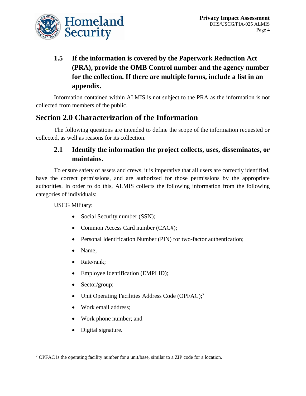

## **1.5 If the information is covered by the Paperwork Reduction Act (PRA), provide the OMB Control number and the agency number for the collection. If there are multiple forms, include a list in an appendix.**

Information contained within ALMIS is not subject to the PRA as the information is not collected from members of the public.

## **Section 2.0 Characterization of the Information**

The following questions are intended to define the scope of the information requested or collected, as well as reasons for its collection.

#### **2.1 Identify the information the project collects, uses, disseminates, or maintains.**

To ensure safety of assets and crews, it is imperative that all users are correctly identified, have the correct permissions, and are authorized for those permissions by the appropriate authorities. In order to do this, ALMIS collects the following information from the following categories of individuals:

#### USCG Military:

- Social Security number (SSN);
- Common Access Card number (CAC#);
- Personal Identification Number (PIN) for two-factor authentication;
- Name;
- Rate/rank;
- Employee Identification (EMPLID);
- Sector/group;
- Unit Operating Facilities Address Code (OPFAC);<sup>7</sup>
- Work email address:
- Work phone number; and
- Digital signature.

l <sup>7</sup> OPFAC is the operating facility number for a unit/base, similar to a ZIP code for a location.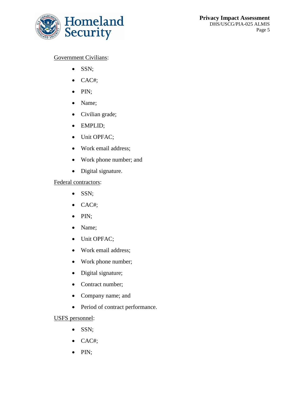

#### Government Civilians:

- $\bullet$  SSN;
- CAC#;
- $\bullet$  PIN;
- Name;
- Civilian grade;
- EMPLID;
- Unit OPFAC;
- Work email address;
- Work phone number; and
- Digital signature.

Federal contractors:

- SSN;
- $\bullet$  CAC#;
- $\bullet$  PIN;
- Name;
- Unit OPFAC;
- Work email address;
- Work phone number;
- Digital signature;
- Contract number;
- Company name; and
- Period of contract performance.

#### USFS personnel:

- SSN;
- CAC#;
- $\bullet$  PIN;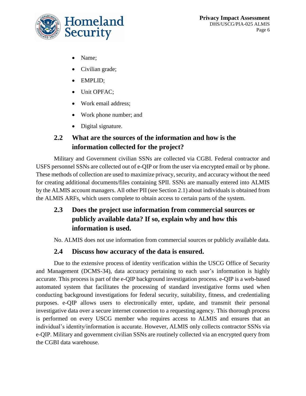

- Name;
- Civilian grade;
- EMPLID;
- Unit OPFAC;
- Work email address;
- Work phone number; and
- Digital signature.

#### **2.2 What are the sources of the information and how is the information collected for the project?**

Military and Government civilian SSNs are collected via CGBI. Federal contractor and USFS personnel SSNs are collected out of e-QIP or from the user via encrypted email or by phone. These methods of collection are used to maximize privacy, security, and accuracy without the need for creating additional documents/files containing SPII. SSNs are manually entered into ALMIS by the ALMIS account managers. All other PII (see Section 2.1) about individuals is obtained from the ALMIS ARFs, which users complete to obtain access to certain parts of the system.

#### **2.3 Does the project use information from commercial sources or publicly available data? If so, explain why and how this information is used.**

No. ALMIS does not use information from commercial sources or publicly available data.

#### **2.4 Discuss how accuracy of the data is ensured.**

Due to the extensive process of identity verification within the USCG Office of Security and Management (DCMS-34), data accuracy pertaining to each user's information is highly accurate. This process is part of the e-QIP background investigation process. e-QIP is a web-based automated system that facilitates the processing of standard investigative forms used when conducting background investigations for federal security, suitability, fitness, and credentialing purposes. e-QIP allows users to electronically enter, update, and transmit their personal investigative data over a secure internet connection to a requesting agency. This thorough process is performed on every USCG member who requires access to ALMIS and ensures that an individual's identity/information is accurate. However, ALMIS only collects contractor SSNs via e-QIP. Military and government civilian SSNs are routinely collected via an encrypted query from the CGBI data warehouse.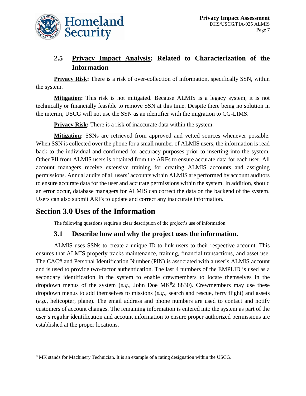

#### **2.5 Privacy Impact Analysis: Related to Characterization of the Information**

**Privacy Risk:** There is a risk of over-collection of information, specifically SSN, within the system.

**Mitigation:** This risk is not mitigated. Because ALMIS is a legacy system, it is not technically or financially feasible to remove SSN at this time. Despite there being no solution in the interim, USCG will not use the SSN as an identifier with the migration to CG-LIMS.

**Privacy Risk:** There is a risk of inaccurate data within the system.

**Mitigation:** SSNs are retrieved from approved and vetted sources whenever possible. When SSN is collected over the phone for a small number of ALMIS users, the information is read back to the individual and confirmed for accuracy purposes prior to inserting into the system. Other PII from ALMIS users is obtained from the ARFs to ensure accurate data for each user. All account managers receive extensive training for creating ALMIS accounts and assigning permissions. Annual audits of all users' accounts within ALMIS are performed by account auditors to ensure accurate data for the user and accurate permissions within the system. In addition, should an error occur, database managers for ALMIS can correct the data on the backend of the system. Users can also submit ARFs to update and correct any inaccurate information.

## **Section 3.0 Uses of the Information**

l

The following questions require a clear description of the project's use of information.

#### **3.1 Describe how and why the project uses the information.**

ALMIS uses SSNs to create a unique ID to link users to their respective account. This ensures that ALMIS properly tracks maintenance, training, financial transactions, and asset use. The CAC# and Personal Identification Number (PIN) is associated with a user's ALMIS account and is used to provide two-factor authentication. The last 4 numbers of the EMPLID is used as a secondary identification in the system to enable crewmembers to locate themselves in the dropdown menus of the system  $(e.g., John Doe MK<sup>8</sup>2 8830)$ . Crewmembers may use these dropdown menus to add themselves to missions (*e.g.*, search and rescue, ferry flight) and assets (*e.g.*, helicopter, plane). The email address and phone numbers are used to contact and notify customers of account changes. The remaining information is entered into the system as part of the user's regular identification and account information to ensure proper authorized permissions are established at the proper locations.

<sup>8</sup> MK stands for Machinery Technician. It is an example of a rating designation within the USCG.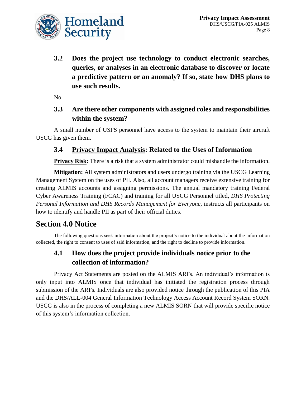

**3.2 Does the project use technology to conduct electronic searches, queries, or analyses in an electronic database to discover or locate a predictive pattern or an anomaly? If so, state how DHS plans to use such results.**

No.

#### **3.3 Are there other components with assigned roles and responsibilities within the system?**

A small number of USFS personnel have access to the system to maintain their aircraft USCG has given them.

#### **3.4 Privacy Impact Analysis: Related to the Uses of Information**

**Privacy Risk:** There is a risk that a system administrator could mishandle the information.

**Mitigation:** All system administrators and users undergo training via the USCG Learning Management System on the uses of PII. Also, all account managers receive extensive training for creating ALMIS accounts and assigning permissions. The annual mandatory training Federal Cyber Awareness Training (FCAC) and training for all USCG Personnel titled, *DHS Protecting Personal Information and DHS Records Management for Everyone,* instructs all participants on how to identify and handle PII as part of their official duties.

#### **Section 4.0 Notice**

The following questions seek information about the project's notice to the individual about the information collected, the right to consent to uses of said information, and the right to decline to provide information.

#### **4.1 How does the project provide individuals notice prior to the collection of information?**

Privacy Act Statements are posted on the ALMIS ARFs. An individual's information is only input into ALMIS once that individual has initiated the registration process through submission of the ARFs. Individuals are also provided notice through the publication of this PIA and the DHS/ALL-004 General Information Technology Access Account Record System SORN. USCG is also in the process of completing a new ALMIS SORN that will provide specific notice of this system's information collection.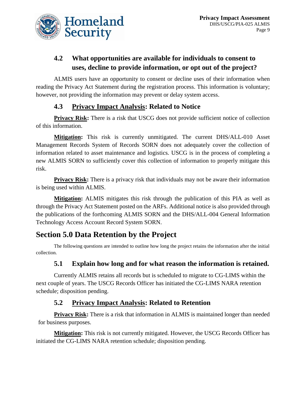

## **4.2 What opportunities are available for individuals to consent to uses, decline to provide information, or opt out of the project?**

ALMIS users have an opportunity to consent or decline uses of their information when reading the Privacy Act Statement during the registration process. This information is voluntary; however, not providing the information may prevent or delay system access.

#### **4.3 Privacy Impact Analysis: Related to Notice**

**Privacy Risk:** There is a risk that USCG does not provide sufficient notice of collection of this information.

**Mitigation:** This risk is currently unmitigated. The current DHS/ALL-010 Asset Management Records System of Records SORN does not adequately cover the collection of information related to asset maintenance and logistics. USCG is in the process of completing a new ALMIS SORN to sufficiently cover this collection of information to properly mitigate this risk.

**Privacy Risk:** There is a privacy risk that individuals may not be aware their information is being used within ALMIS.

**Mitigation:** ALMIS mitigates this risk through the publication of this PIA as well as through the Privacy Act Statement posted on the ARFs. Additional notice is also provided through the publications of the forthcoming ALMIS SORN and the DHS/ALL-004 General Information Technology Access Account Record System SORN.

## **Section 5.0 Data Retention by the Project**

The following questions are intended to outline how long the project retains the information after the initial collection.

#### **5.1 Explain how long and for what reason the information is retained.**

Currently ALMIS retains all records but is scheduled to migrate to CG-LIMS within the next couple of years. The USCG Records Officer has initiated the CG-LIMS NARA retention schedule; disposition pending.

#### **5.2 Privacy Impact Analysis: Related to Retention**

**Privacy Risk:** There is a risk that information in ALMIS is maintained longer than needed for business purposes.

**Mitigation:** This risk is not currently mitigated. However, the USCG Records Officer has initiated the CG-LIMS NARA retention schedule; disposition pending.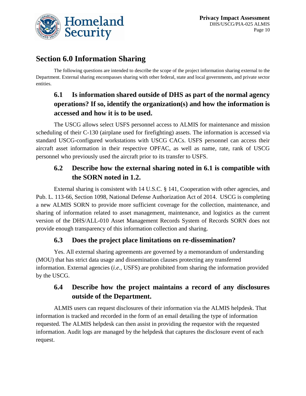

## **Section 6.0 Information Sharing**

The following questions are intended to describe the scope of the project information sharing external to the Department. External sharing encompasses sharing with other federal, state and local governments, and private sector entities.

## **6.1 Is information shared outside of DHS as part of the normal agency operations? If so, identify the organization(s) and how the information is accessed and how it is to be used.**

The USCG allows select USFS personnel access to ALMIS for maintenance and mission scheduling of their C-130 (airplane used for firefighting) assets. The information is accessed via standard USCG-configured workstations with USCG CACs. USFS personnel can access their aircraft asset information in their respective OPFAC, as well as name, rate, rank of USCG personnel who previously used the aircraft prior to its transfer to USFS.

#### **6.2 Describe how the external sharing noted in 6.1 is compatible with the SORN noted in 1.2.**

External sharing is consistent with 14 U.S.C. § 141, Cooperation with other agencies, and Pub. L. 113-66, Section 1098, National Defense Authorization Act of 2014. USCG is completing a new ALMIS SORN to provide more sufficient coverage for the collection, maintenance, and sharing of information related to asset management, maintenance, and logistics as the current version of the DHS/ALL-010 Asset Management Records System of Records SORN does not provide enough transparency of this information collection and sharing.

#### **6.3 Does the project place limitations on re-dissemination?**

Yes. All external sharing agreements are governed by a memorandum of understanding (MOU) that has strict data usage and dissemination clauses protecting any transferred information. External agencies (*i.e.*, USFS) are prohibited from sharing the information provided by the USCG.

#### **6.4 Describe how the project maintains a record of any disclosures outside of the Department.**

ALMIS users can request disclosures of their information via the ALMIS helpdesk. That information is tracked and recorded in the form of an email detailing the type of information requested. The ALMIS helpdesk can then assist in providing the requestor with the requested information. Audit logs are managed by the helpdesk that captures the disclosure event of each request.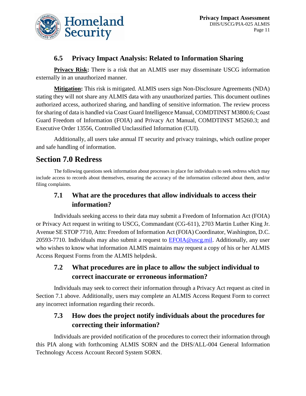

#### **6.5 Privacy Impact Analysis: Related to Information Sharing**

**Privacy Risk:** There is a risk that an ALMIS user may disseminate USCG information externally in an unauthorized manner.

**Mitigation:** This risk is mitigated. ALMIS users sign Non-Disclosure Agreements (NDA) stating they will not share any ALMIS data with any unauthorized parties. This document outlines authorized access, authorized sharing, and handling of sensitive information. The review process for sharing of data is handled via Coast Guard Intelligence Manual, COMDTINST M3800.6; Coast Guard Freedom of Information (FOIA) and Privacy Act Manual, COMDTINST M5260.3; and Executive Order 13556, Controlled Unclassified Information (CUI).

Additionally, all users take annual IT security and privacy trainings, which outline proper and safe handling of information.

## **Section 7.0 Redress**

The following questions seek information about processes in place for individuals to seek redress which may include access to records about themselves, ensuring the accuracy of the information collected about them, and/or filing complaints.

#### **7.1 What are the procedures that allow individuals to access their information?**

Individuals seeking access to their data may submit a Freedom of Information Act (FOIA) or Privacy Act request in writing to USCG, Commandant (CG-611), 2703 Martin Luther King Jr. Avenue SE STOP 7710, Attn: Freedom of Information Act (FOIA) Coordinator, Washington, D.C. 20593-7710. Individuals may also submit a request to  $EFOIA@useg.mil$ . Additionally, any user who wishes to know what information ALMIS maintains may request a copy of his or her ALMIS Access Request Forms from the ALMIS helpdesk.

#### **7.2 What procedures are in place to allow the subject individual to correct inaccurate or erroneous information?**

Individuals may seek to correct their information through a Privacy Act request as cited in Section 7.1 above. Additionally, users may complete an ALMIS Access Request Form to correct any incorrect information regarding their records.

#### **7.3 How does the project notify individuals about the procedures for correcting their information?**

Individuals are provided notification of the procedures to correct their information through this PIA along with forthcoming ALMIS SORN and the DHS/ALL-004 General Information Technology Access Account Record System SORN.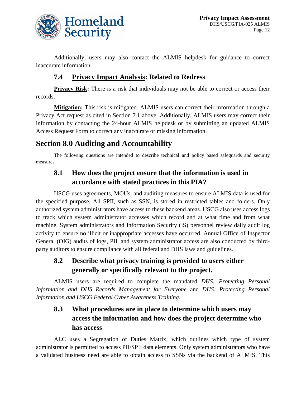

Additionally, users may also contact the ALMIS helpdesk for guidance to correct inaccurate information.

#### **7.4 Privacy Impact Analysis: Related to Redress**

**Privacy Risk:** There is a risk that individuals may not be able to correct or access their records.

**Mitigation:** This risk is mitigated. ALMIS users can correct their information through a Privacy Act request as cited in Section 7.1 above. Additionally, ALMIS users may correct their information by contacting the 24-hour ALMIS helpdesk or by submitting an updated ALMIS Access Request Form to correct any inaccurate or missing information.

## **Section 8.0 Auditing and Accountability**

The following questions are intended to describe technical and policy based safeguards and security measures.

#### **8.1 How does the project ensure that the information is used in accordance with stated practices in this PIA?**

USCG uses agreements, MOUs, and auditing measures to ensure ALMIS data is used for the specified purpose. All SPII, such as SSN, is stored in restricted tables and folders. Only authorized system administrators have access to these backend areas. USCG also uses access logs to track which system administrator accesses which record and at what time and from what machine. System administrators and Information Security (IS) personnel review daily audit log activity to ensure no illicit or inappropriate accesses have occurred. Annual Office of Inspector General (OIG) audits of logs, PII, and system administrator access are also conducted by thirdparty auditors to ensure compliance with all federal and DHS laws and guidelines.

#### **8.2 Describe what privacy training is provided to users either generally or specifically relevant to the project.**

ALMIS users are required to complete the mandated *DHS: Protecting Personal Information and DHS Records Management for Everyone* and *DHS: Protecting Personal Information and USCG Federal Cyber Awareness Training*.

## **8.3 What procedures are in place to determine which users may access the information and how does the project determine who has access**

ALC uses a Segregation of Duties Matrix, which outlines which type of system administrator is permitted to access PII/SPII data elements. Only system administrators who have a validated business need are able to obtain access to SSNs via the backend of ALMIS. This